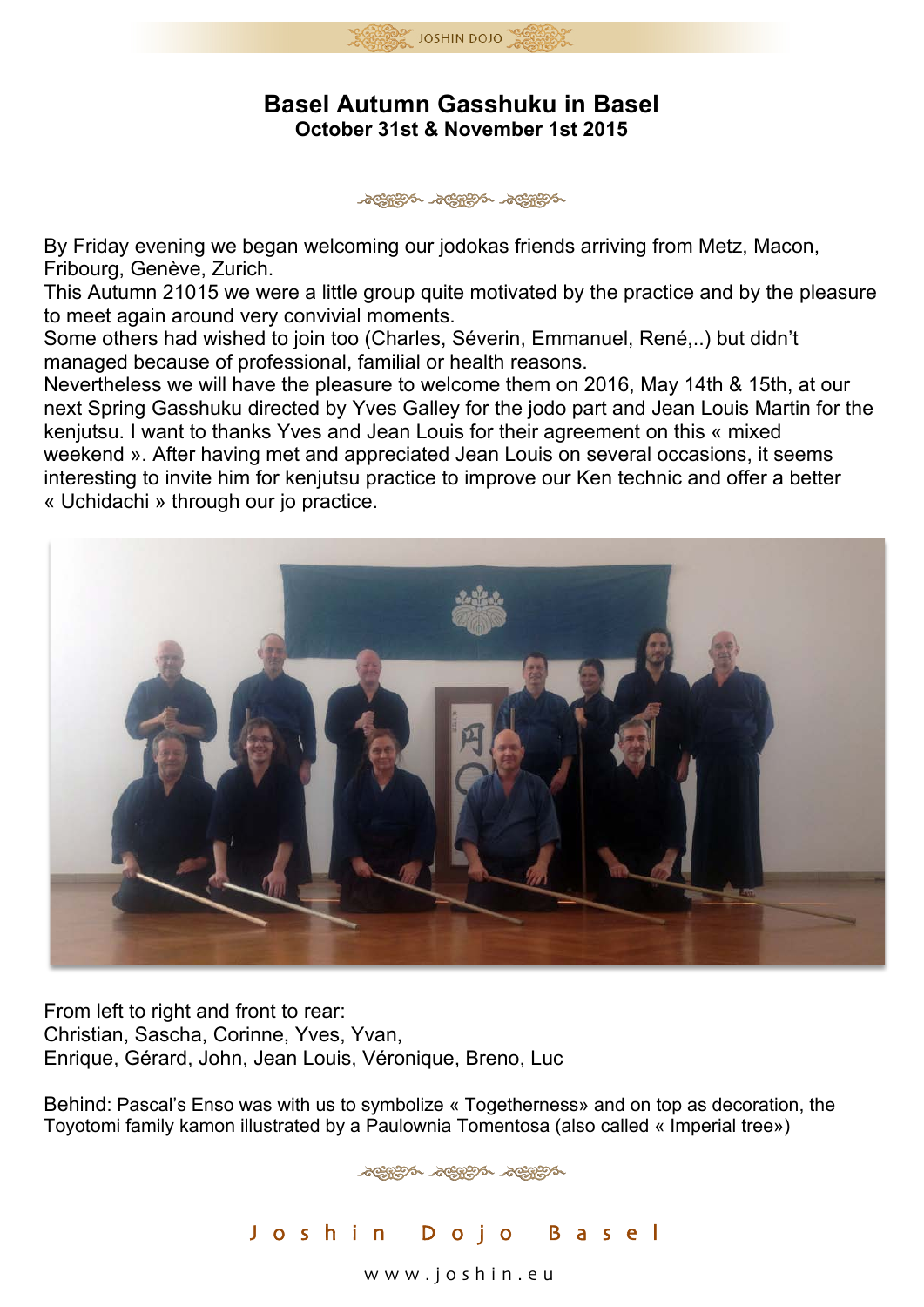

## **Basel Autumn Gasshuku in Basel October 31st & November 1st 2015**

Jeepen Jeepen Jeepen

By Friday evening we began welcoming our jodokas friends arriving from Metz, Macon, Fribourg, Genève, Zurich.

This Autumn 21015 we were a little group quite motivated by the practice and by the pleasure to meet again around very convivial moments.

Some others had wished to join too (Charles, Séverin, Emmanuel, René,..) but didn't managed because of professional, familial or health reasons.

Nevertheless we will have the pleasure to welcome them on 2016, May 14th & 15th, at our next Spring Gasshuku directed by Yves Galley for the jodo part and Jean Louis Martin for the kenjutsu. I want to thanks Yves and Jean Louis for their agreement on this « mixed weekend ». After having met and appreciated Jean Louis on several occasions, it seems interesting to invite him for kenjutsu practice to improve our Ken technic and offer a better « Uchidachi » through our jo practice.



From left to right and front to rear: Christian, Sascha, Corinne, Yves, Yvan, Enrique, Gérard, John, Jean Louis, Véronique, Breno, Luc

Behind: Pascal's Enso was with us to symbolize « Togetherness» and on top as decoration, the Toyotomi family kamon illustrated by a Paulownia Tomentosa (also called « Imperial tree»)



www . joshin . e u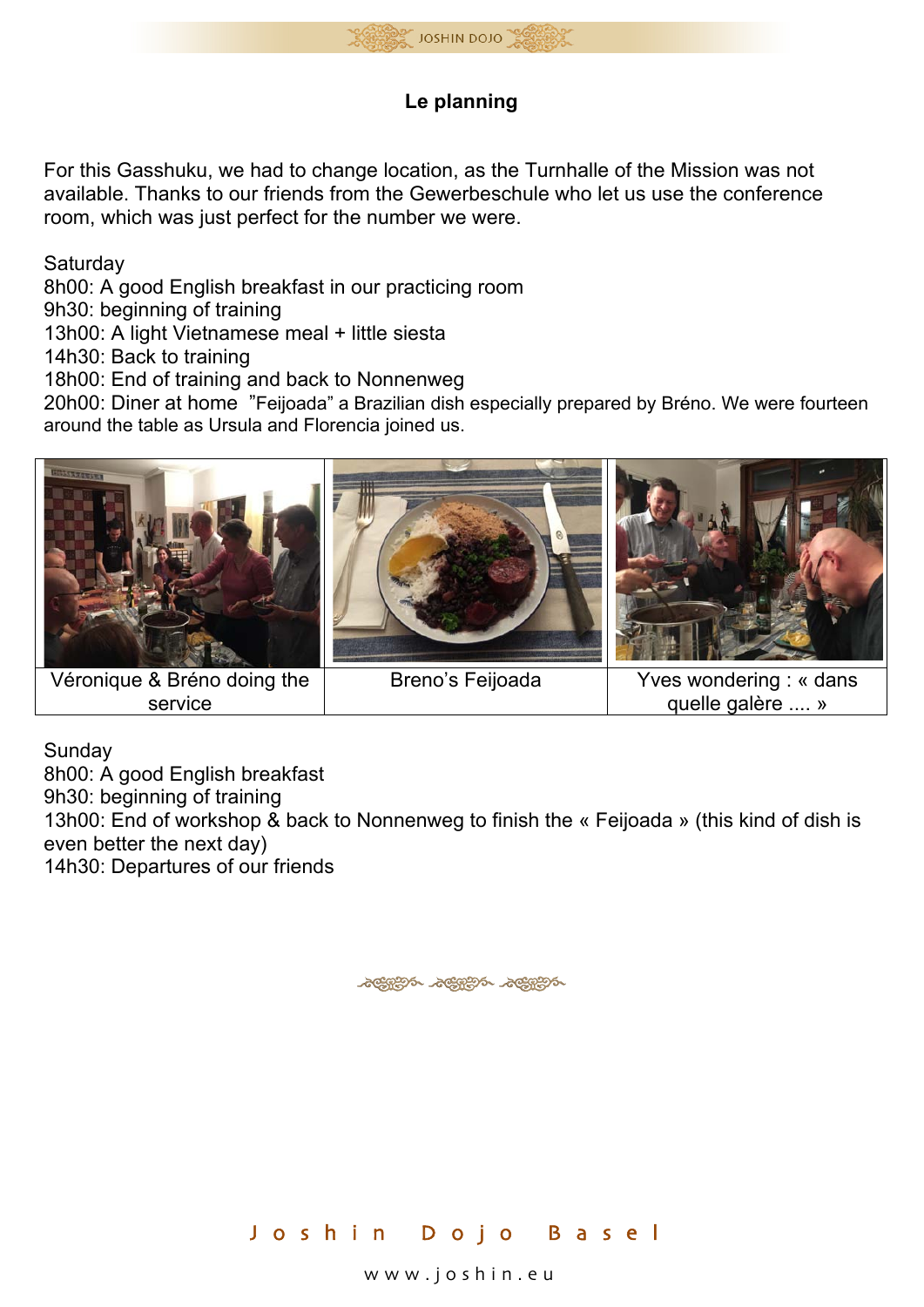

## **Le planning**

For this Gasshuku, we had to change location, as the Turnhalle of the Mission was not available. Thanks to our friends from the Gewerbeschule who let us use the conference room, which was just perfect for the number we were.

**Saturday** 

8h00: A good English breakfast in our practicing room

9h30: beginning of training

13h00: A light Vietnamese meal + little siesta

14h30: Back to training

18h00: End of training and back to Nonnenweg

20h00: Diner at home "Feijoada" a Brazilian dish especially prepared by Bréno. We were fourteen around the table as Ursula and Florencia joined us.



Véronique & Bréno doing the service

quelle galère .... »

Sunday

8h00: A good English breakfast 9h30: beginning of training 13h00: End of workshop & back to Nonnenweg to finish the « Feijoada » (this kind of dish is even better the next day) 14h30: Departures of our friends

ACHERY ACHERY ACHERY



www . joshin . e u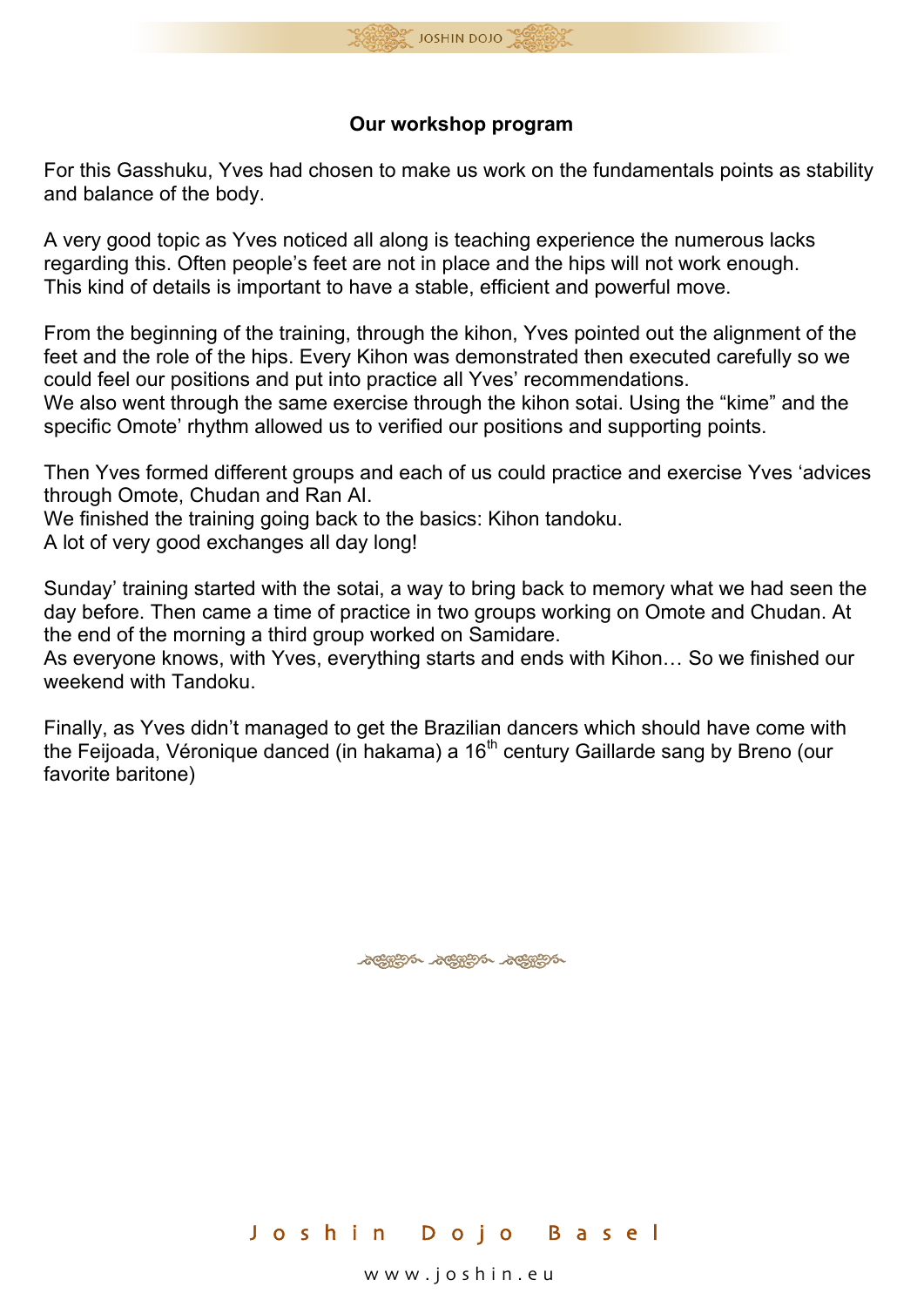

## **Our workshop program**

For this Gasshuku, Yves had chosen to make us work on the fundamentals points as stability and balance of the body.

A very good topic as Yves noticed all along is teaching experience the numerous lacks regarding this. Often people's feet are not in place and the hips will not work enough. This kind of details is important to have a stable, efficient and powerful move.

From the beginning of the training, through the kihon, Yves pointed out the alignment of the feet and the role of the hips. Every Kihon was demonstrated then executed carefully so we could feel our positions and put into practice all Yves' recommendations.

We also went through the same exercise through the kihon sotai. Using the "kime" and the specific Omote' rhythm allowed us to verified our positions and supporting points.

Then Yves formed different groups and each of us could practice and exercise Yves 'advices through Omote, Chudan and Ran AI.

We finished the training going back to the basics: Kihon tandoku.

A lot of very good exchanges all day long!

Sunday' training started with the sotai, a way to bring back to memory what we had seen the day before. Then came a time of practice in two groups working on Omote and Chudan. At the end of the morning a third group worked on Samidare.

As everyone knows, with Yves, everything starts and ends with Kihon… So we finished our weekend with Tandoku.

Finally, as Yves didn't managed to get the Brazilian dancers which should have come with the Feijoada, Véronique danced (in hakama) a  $16<sup>th</sup>$  century Gaillarde sang by Breno (our favorite baritone)

ACHERS ACHERS ACHERS